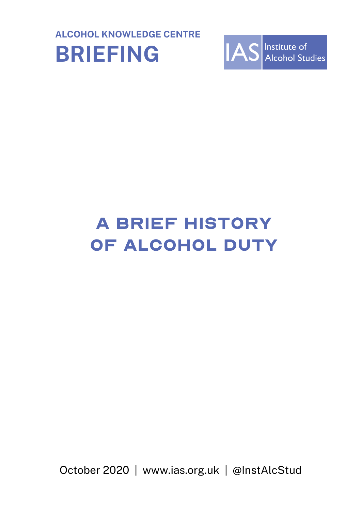



# A brief history OF ALCOHOL DUTY

October 2020 | www.ias.org.uk | @InstAlcStud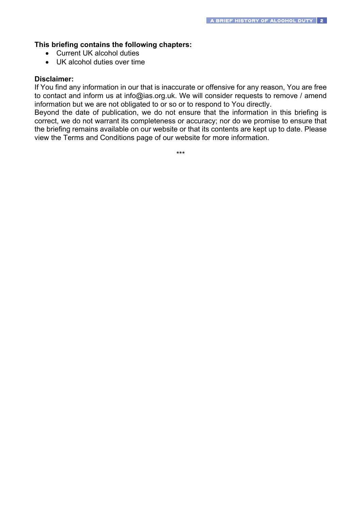### **This briefing contains the following chapters:**

- Current UK alcohol duties
- UK alcohol duties over time

#### **Disclaimer:**

If You find any information in our that is inaccurate or offensive for any reason, You are free to contact and inform us at info@ias.org.uk. We will consider requests to remove / amend information but we are not obligated to or so or to respond to You directly.

Beyond the date of publication, we do not ensure that the information in this briefing is correct, we do not warrant its completeness or accuracy; nor do we promise to ensure that the briefing remains available on our website or that its contents are kept up to date. Please view the Terms and Conditions page of our website for more information.

\*\*\*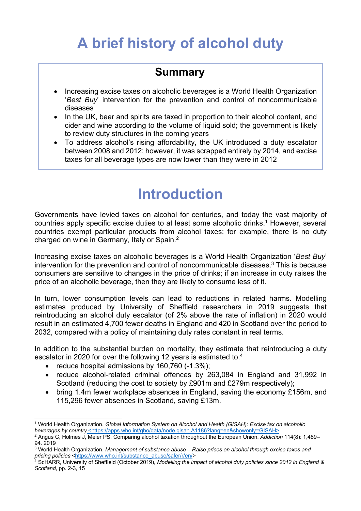## **A brief history of alcohol duty**

### **Summary**

- Increasing excise taxes on alcoholic beverages is a World Health Organization '*Best Buy*' intervention for the prevention and control of noncommunicable diseases
- In the UK, beer and spirits are taxed in proportion to their alcohol content, and cider and wine according to the volume of liquid sold; the government is likely to review duty structures in the coming years
- To address alcohol's rising affordability, the UK introduced a duty escalator between 2008 and 2012; however, it was scrapped entirely by 2014, and excise taxes for all beverage types are now lower than they were in 2012

## **Introduction**

Governments have levied taxes on alcohol for centuries, and today the vast majority of countries apply specific excise duties to at least some alcoholic drinks.<sup>1</sup> However, several countries exempt particular products from alcohol taxes: for example, there is no duty charged on wine in Germany, Italy or Spain.2

Increasing excise taxes on alcoholic beverages is a World Health Organization '*Best Buy*' intervention for the prevention and control of noncommunicable diseases.<sup>3</sup> This is because consumers are sensitive to changes in the price of drinks; if an increase in duty raises the price of an alcoholic beverage, then they are likely to consume less of it.

In turn, lower consumption levels can lead to reductions in related harms. Modelling estimates produced by University of Sheffield researchers in 2019 suggests that reintroducing an alcohol duty escalator (of 2% above the rate of inflation) in 2020 would result in an estimated 4,700 fewer deaths in England and 420 in Scotland over the period to 2032, compared with a policy of maintaining duty rates constant in real terms.

In addition to the substantial burden on mortality, they estimate that reintroducing a duty escalator in 2020 for over the following 12 years is estimated to:<sup>4</sup>

- reduce hospital admissions by 160,760 (-1.3%);
- reduce alcohol-related criminal offences by 263,084 in England and 31,992 in Scotland (reducing the cost to society by £901m and £279m respectively);
- bring 1.4m fewer workplace absences in England, saving the economy £156m, and 115,296 fewer absences in Scotland, saving £13m.

<sup>1</sup> World Health Organization. *Global Information System on Alcohol and Health (GISAH): Excise tax on alcoholic beverages by country* <https://apps.who.int/gho/data/node.gisah.A1186?lang=en&showonly=GISAH>

<sup>2</sup> Angus C, Holmes J, Meier PS. Comparing alcohol taxation throughout the European Union. *Addiction* 114(8): 1,489– 94. 2019

<sup>3</sup> World Health Organization. *Management of substance abuse – Raise prices on alcohol through excise taxes and pricing policies* <https://www.who.int/substance\_abuse/safer/r/en/>

<sup>4</sup> ScHARR, University of Sheffield (October 2019), *Modelling the impact of alcohol duty policies since 2012 in England & Scotland*, pp. 2-3, 15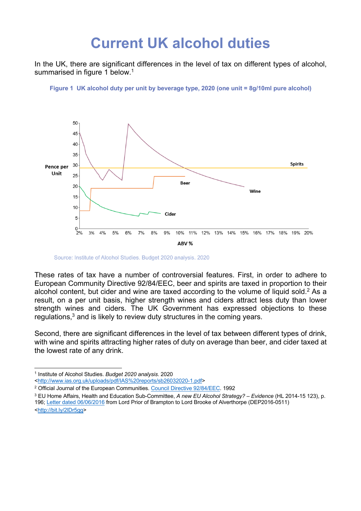### **Current UK alcohol duties**

In the UK, there are significant differences in the level of tax on different types of alcohol. summarised in figure 1 below.<sup>1</sup>

**Figure 1 UK alcohol duty per unit by beverage type, 2020 (one unit = 8g/10ml pure alcohol)**



Source: Institute of Alcohol Studies. Budget 2020 analysis. 2020

These rates of tax have a number of controversial features. First, in order to adhere to European Community Directive 92/84/EEC, beer and spirits are taxed in proportion to their alcohol content, but cider and wine are taxed according to the volume of liquid sold.<sup>2</sup> As a result, on a per unit basis, higher strength wines and ciders attract less duty than lower strength wines and ciders. The UK Government has expressed objections to these regulations, $3$  and is likely to review duty structures in the coming years.

Second, there are significant differences in the level of tax between different types of drink, with wine and spirits attracting higher rates of duty on average than beer, and cider taxed at the lowest rate of any drink.

<http://www.ias.org.uk/uploads/pdf/IAS%20reports/sb26032020-1.pdf>

- <sup>2</sup> Official Journal of the European Communities. Council Directive 92/84/EEC. 1992
- <sup>3</sup> EU Home Affairs, Health and Education Sub-Committee, *A new EU Alcohol Strategy? – Evidence* (HL 2014-15 123), p. 196; Letter dated 06/06/2016 from Lord Prior of Brampton to Lord Brooke of Alverthorpe (DEP2016-0511) <http://bit.ly/2lDr5gg>

<sup>1</sup> Institute of Alcohol Studies. *Budget 2020 analysis*. 2020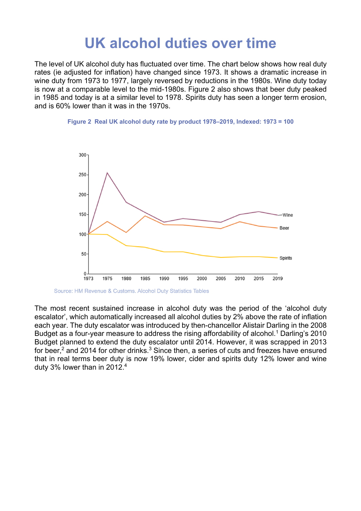### **UK alcohol duties over time**

The level of UK alcohol duty has fluctuated over time. The chart below shows how real duty rates (ie adjusted for inflation) have changed since 1973. It shows a dramatic increase in wine duty from 1973 to 1977, largely reversed by reductions in the 1980s. Wine duty today is now at a comparable level to the mid-1980s. Figure 2 also shows that beer duty peaked in 1985 and today is at a similar level to 1978. Spirits duty has seen a longer term erosion, and is 60% lower than it was in the 1970s.





Source: HM Revenue & Customs. Alcohol Duty Statistics Tables

The most recent sustained increase in alcohol duty was the period of the 'alcohol duty escalator', which automatically increased all alcohol duties by 2% above the rate of inflation each year. The duty escalator was introduced by then-chancellor Alistair Darling in the 2008 Budget as a four-year measure to address the rising affordability of alcohol.<sup>1</sup> Darling's 2010 Budget planned to extend the duty escalator until 2014. However, it was scrapped in 2013 for beer,<sup>2</sup> and 2014 for other drinks.<sup>3</sup> Since then, a series of cuts and freezes have ensured that in real terms beer duty is now 19% lower, cider and spirits duty 12% lower and wine duty 3% lower than in 2012.4